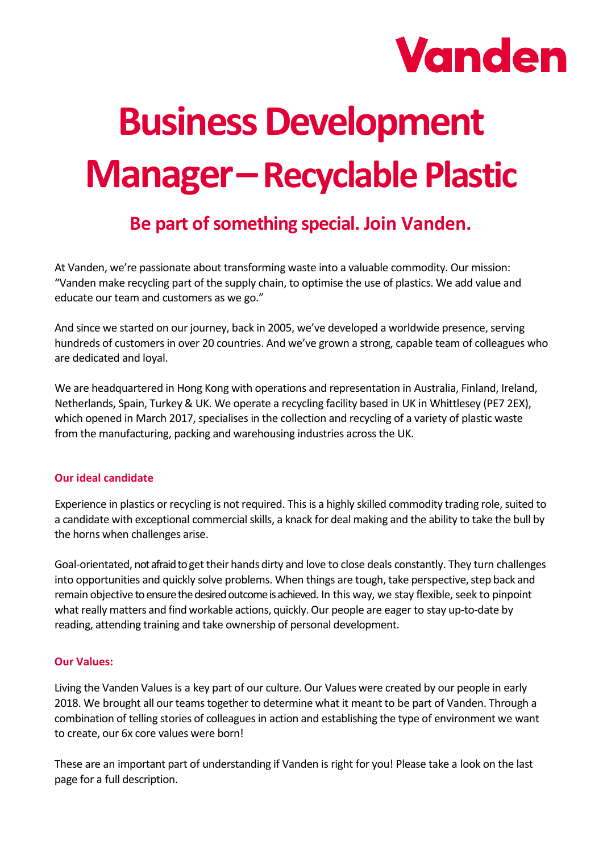

# **Business Development Manager–Recyclable Plastic**

## **Be part of something special. Join Vanden.**

At Vanden, we're passionate about transforming waste into a valuable commodity. Our mission: "Vanden make recycling part of the supply chain, to optimise the use of plastics. We add value and educate our team and customers as we go."

And since we started on our journey, back in 2005, we've developed a worldwide presence, serving hundreds of customers in over 20 countries. And we've grown a strong, capable team of colleagues who are dedicated and loyal.

We are headquartered in Hong Kong with operations and representation in Australia, Finland, Ireland, Netherlands, Spain, Turkey & UK. We operate a recycling facility based in UK in Whittlesey (PE7 2EX), which opened in March 2017, specialises in the collection and recycling of a variety of plastic waste from the manufacturing, packing and warehousing industries across the UK.

#### **Our ideal candidate**

Experience in plastics or recycling is not required. This is a highly skilled commodity trading role, suited to a candidate with exceptional commercial skills, a knack for deal making and the ability to take the bull by the horns when challenges arise.

Goal-orientated, not afraid to get their hands dirty and love to close deals constantly. They turn challenges into opportunities and quickly solve problems. When things are tough, take perspective, step back and remain objective to ensure the desired outcome is achieved. In this way, we stay flexible, seek to pinpoint what really matters and find workable actions, quickly. Our people are eager to stay up-to-date by reading, attending training and take ownership of personal development.

#### **Our Values:**

Living the Vanden Values is a key part of our culture. Our Values were created by our people in early 2018. We brought all our teams together to determine what it meant to be part of Vanden. Through a combination of telling stories of colleagues in action and establishing the type of environment we want to create, our 6x core values were born!

These are an important part of understanding if Vanden is right for you! Please take a look on the last page for a full description.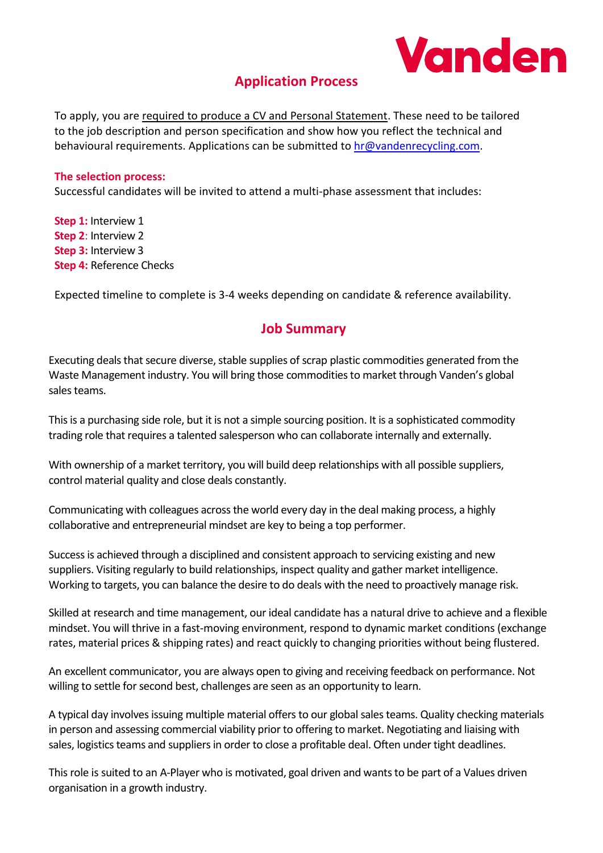

## **Application Process**

To apply, you are required to produce a CV and Personal Statement. These need to be tailored to the job description and person specification and show how you reflect the technical and behavioural requirements. Applications can be submitted to [hr@vandenrecycling.com.](mailto:hr@vandenrecycling.com)

#### **The selection process:**

Successful candidates will be invited to attend a multi-phase assessment that includes:

**Step 1:** Interview 1 **Step 2**: Interview 2 **Step 3:** Interview 3 **Step 4:** Reference Checks

Expected timeline to complete is 3-4 weeks depending on candidate & reference availability.

## **Job Summary**

Executing deals that secure diverse, stable supplies of scrap plastic commodities generated from the Waste Management industry. You will bring those commoditiesto market through Vanden's global sales teams.

This is a purchasing side role, but it is not a simple sourcing position. It is a sophisticated commodity trading role that requires a talented salesperson who can collaborate internally and externally.

With ownership of a market territory, you will build deep relationships with all possible suppliers, control material quality and close deals constantly.

Communicating with colleagues across the world every day in the deal making process, a highly collaborative and entrepreneurial mindset are key to being a top performer.

Success is achieved through a disciplined and consistent approach to servicing existing and new suppliers. Visiting regularly to build relationships, inspect quality and gather market intelligence. Working to targets, you can balance the desire to do deals with the need to proactively manage risk.

Skilled at research and time management, our ideal candidate has a natural drive to achieve and a flexible mindset. You will thrive in a fast-moving environment, respond to dynamic market conditions (exchange rates, material prices & shipping rates) and react quickly to changing priorities without being flustered.

An excellent communicator, you are always open to giving and receiving feedback on performance. Not willing to settle for second best, challenges are seen as an opportunity to learn.

A typical day involves issuing multiple material offers to our global sales teams. Quality checking materials in person and assessing commercial viability prior to offering to market. Negotiating and liaising with sales, logistics teams and suppliers in order to close a profitable deal. Often under tight deadlines.

This role is suited to an A-Player who is motivated, goal driven and wants to be part of a Values driven organisation in a growth industry.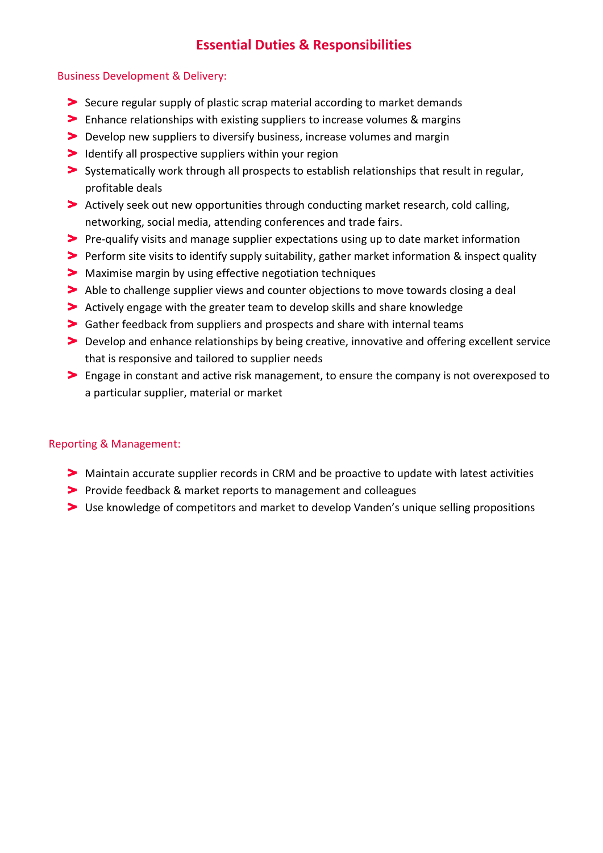## **Essential Duties & Responsibilities**

#### Business Development & Delivery:

- Secure regular supply of plastic scrap material according to market demands
- Enhance relationships with existing suppliers to increase volumes & margins
- Develop new suppliers to diversify business, increase volumes and margin
- Identify all prospective suppliers within your region
- Systematically work through all prospects to establish relationships that result in regular, profitable deals
- Actively seek out new opportunities through conducting market research, cold calling, networking, social media, attending conferences and trade fairs.
- Pre-qualify visits and manage supplier expectations using up to date market information
- Perform site visits to identify supply suitability, gather market information & inspect quality
- Maximise margin by using effective negotiation techniques
- Able to challenge supplier views and counter objections to move towards closing a deal
- Actively engage with the greater team to develop skills and share knowledge
- Gather feedback from suppliers and prospects and share with internal teams
- Develop and enhance relationships by being creative, innovative and offering excellent service that is responsive and tailored to supplier needs
- Engage in constant and active risk management, to ensure the company is not overexposed to a particular supplier, material or market

#### Reporting & Management:

- Maintain accurate supplier records in CRM and be proactive to update with latest activities
- Provide feedback & market reports to management and colleagues
- Use knowledge of competitors and market to develop Vanden's unique selling propositions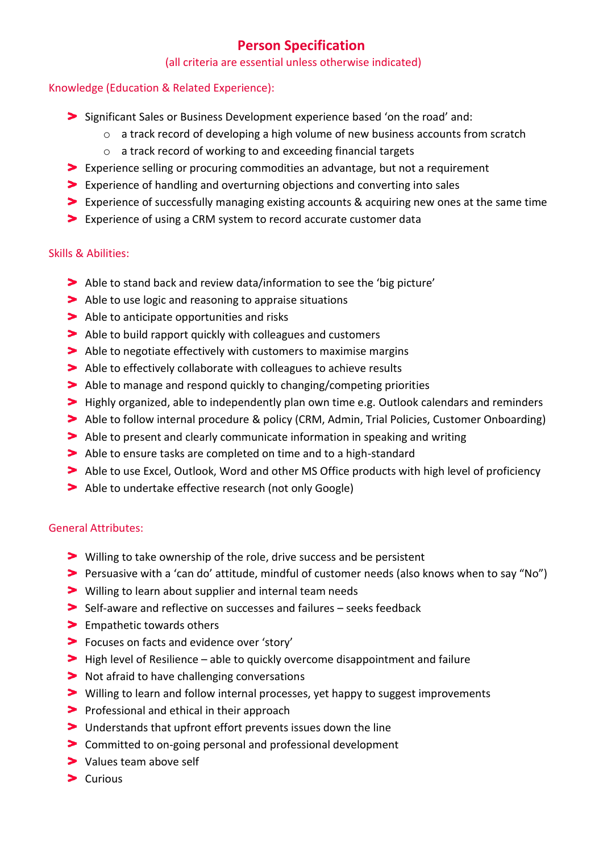## **Person Specification**

#### (all criteria are essential unless otherwise indicated)

#### Knowledge (Education & Related Experience):

- Significant Sales or Business Development experience based 'on the road' and:
	- $\circ$  a track record of developing a high volume of new business accounts from scratch
	- o a track record of working to and exceeding financial targets
- Experience selling or procuring commodities an advantage, but not a requirement
- Experience of handling and overturning objections and converting into sales
- Experience of successfully managing existing accounts & acquiring new ones at the same time
- Experience of using a CRM system to record accurate customer data

#### Skills & Abilities:

- Able to stand back and review data/information to see the 'big picture'
- Able to use logic and reasoning to appraise situations
- Able to anticipate opportunities and risks
- Able to build rapport quickly with colleagues and customers
- Able to negotiate effectively with customers to maximise margins
- Able to effectively collaborate with colleagues to achieve results
- Able to manage and respond quickly to changing/competing priorities
- Highly organized, able to independently plan own time e.g. Outlook calendars and reminders
- Able to follow internal procedure & policy (CRM, Admin, Trial Policies, Customer Onboarding)
- Able to present and clearly communicate information in speaking and writing
- Able to ensure tasks are completed on time and to a high-standard
- Able to use Excel, Outlook, Word and other MS Office products with high level of proficiency
- Able to undertake effective research (not only Google)

## General Attributes:

- Willing to take ownership of the role, drive success and be persistent
- Persuasive with a 'can do' attitude, mindful of customer needs (also knows when to say "No")
- Willing to learn about supplier and internal team needs
- Self-aware and reflective on successes and failures seeks feedback
- > Empathetic towards others
- Focuses on facts and evidence over 'story'
- High level of Resilience able to quickly overcome disappointment and failure
- Not afraid to have challenging conversations
- Willing to learn and follow internal processes, yet happy to suggest improvements
- **Professional and ethical in their approach**
- Understands that upfront effort prevents issues down the line
- Committed to on-going personal and professional development
- > Values team above self
- $\blacktriangleright$  Curious